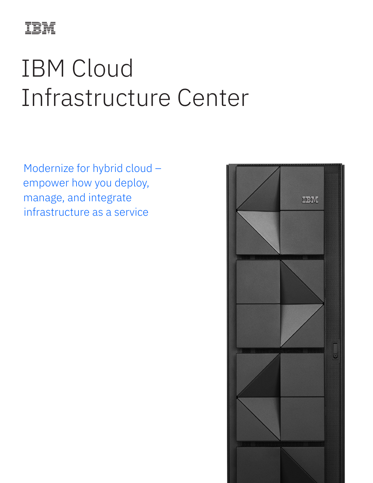

# IBM Cloud Infrastructure Center

Modernize for hybrid cloud – empower how you deploy, manage, and integrate infrastructure as a service

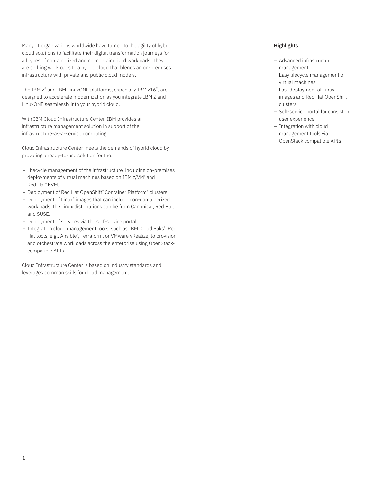Many IT organizations worldwide have turned to the agility of hybrid cloud solutions to facilitate their digital transformation journeys for all types of containerized and noncontainerized workloads. They are shifting workloads to a hybrid cloud that blends an on-premises infrastructure with private and public cloud models.

The IBM Z® and IBM LinuxONE platforms, especially IBM z16™, are designed to accelerate modernization as you integrate IBM Z and LinuxONE seamlessly into your hybrid cloud.

With IBM Cloud Infrastructure Center, IBM provides an infrastructure management solution in support of the infrastructure-as-a-service computing.

Cloud Infrastructure Center meets the demands of hybrid cloud by providing a ready-to-use solution for the:

- Lifecycle management of the infrastructure, including on-premises deployments of virtual machines based on IBM z/VM® and Red Hat® KVM.
- Deployment of Red Hat OpenShift<sup>®</sup> Container Platform<sup>1</sup> clusters.
- Deployment of Linux® images that can include non-containerized workloads; the Linux distributions can be from Canonical, Red Hat, and SUSE.
- Deployment of services via the self-service portal.
- Integration cloud management tools, such as IBM Cloud Paks® , Red Hat tools, e.g., Ansible® , Terraform, or VMware vRealize, to provision and orchestrate workloads across the enterprise using OpenStackcompatible APIs.

Cloud Infrastructure Center is based on industry standards and leverages common skills for cloud management.

## **Highlights**

- Advanced infrastructure management
- Easy lifecycle management of virtual machines
- Fast deployment of Linux images and Red Hat OpenShift clusters
- Self-service portal for consistent user experience
- Integration with cloud management tools via OpenStack compatible APIs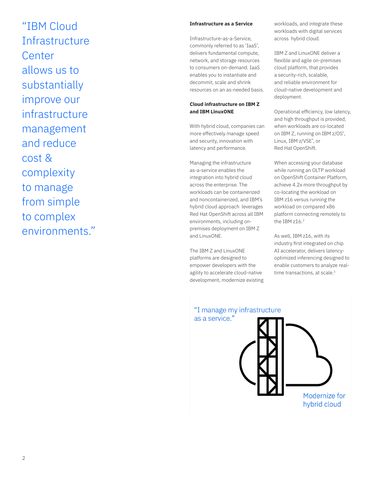"IBM Cloud **Infrastructure Center** allows us to substantially improve our infrastructure management and reduce cost & complexity to manage from simple to complex environments."

# **Infrastructure as a Service**

Infrastructure-as-a-Service, commonly referred to as 'IaaS', delivers fundamental compute, network, and storage resources to consumers on-demand. IaaS enables you to instantiate and decommit, scale and shrink resources on an as-needed basis.

### **Cloud infrastructure on IBM Z and IBM LinuxONE**

With hybrid cloud, companies can more effectively manage speed and security, innovation with latency and performance.

Managing the infrastructure as-a-service enables the integration into hybrid cloud across the enterprise. The workloads can be containerized and noncontainerized, and IBM's hybrid cloud approach leverages Red Hat OpenShift across all IBM environments, including onpremises deployment on IBM Z and LinuxONE.

The IBM Z and LinuxONE platforms are designed to empower developers with the agility to accelerate cloud-native development, modernize existing workloads, and integrate these workloads with digital services across hybrid cloud.

IBM Z and LinuxONE deliver a flexible and agile on-premises cloud platform, that provides a security-rich, scalable, and reliable environment for cloud-native development and deployment.

Operational efficiency, low latency, and high throughput is provided, when workloads are co-located on IBM Z, running on IBM z/OS®, Linux, IBM z/VSE®, or Red Hat OpenShift.

When accessing your database while running an OLTP workload on OpenShift Container Platform, achieve 4.2x more throughput by co-locating the workload on IBM z16 versus running the workload on compared x86 platform connecting remotely to the IBM z16.<sup>2</sup>

As well, IBM z16, with its industry first integrated on chip AI accelerator, delivers latencyoptimized inferencing designed to enable customers to analyze realtime transactions, at scale.<sup>3</sup>

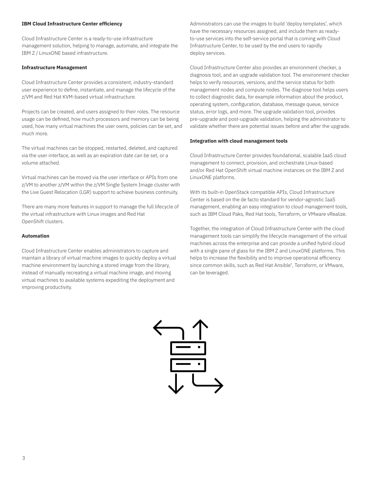#### **IBM Cloud Infrastructure Center efficiency**

Cloud Infrastructure Center is a ready-to-use infrastructure management solution, helping to manage, automate, and integrate the IBM Z / LinuxONE based infrastructure.

# **Infrastructure Management**

Cloud Infrastructure Center provides a consistent, industry-standard user experience to define, instantiate, and manage the lifecycle of the z/VM and Red Hat KVM-based virtual infrastructure.

Projects can be created, and users assigned to their roles. The resource usage can be defined, how much processors and memory can be being used, how many virtual machines the user owns, policies can be set, and much more.

The virtual machines can be stopped, restarted, deleted, and captured via the user interface, as well as an expiration date can be set, or a volume attached.

Virtual machines can be moved via the user interface or APIs from one z/VM to another z/VM within the z/VM Single System Image cluster with the Live Guest Relocation (LGR) support to achieve business continuity.

There are many more features in support to manage the full lifecycle of the virtual infrastructure with Linux images and Red Hat OpenShift clusters.

#### **Automation**

Cloud Infrastructure Center enables administrators to capture and maintain a library of virtual machine images to quickly deploy a virtual machine environment by launching a stored image from the library, instead of manually recreating a virtual machine image, and moving virtual machines to available systems expediting the deployment and improving productivity.

Administrators can use the images to build 'deploy templates', which have the necessary resources assigned, and include them as readyto-use services into the self-service portal that is coming with Cloud Infrastructure Center, to be used by the end users to rapidly deploy services.

Cloud Infrastructure Center also provides an environment checker, a diagnosis tool, and an upgrade validation tool. The environment checker helps to verify resources, versions, and the service status for both management nodes and compute nodes. The diagnose tool helps users to collect diagnostic data, for example information about the product, operating system, configuration, database, message queue, service status, error logs, and more. The upgrade validation tool, provides pre-upgrade and post-upgrade validation, helping the administrator to validate whether there are potential issues before and after the upgrade.

# **Integration with cloud management tools**

Cloud Infrastructure Center provides foundational, scalable IaaS cloud management to connect, provision, and orchestrate Linux-based and/or Red Hat OpenShift virtual machine instances on the IBM Z and LinuxONE platforms.

With its built-in OpenStack compatible APIs, Cloud Infrastructure Center is based on the de facto standard for vendor-agnostic IaaS management, enabling an easy integration to cloud management tools, such as IBM Cloud Paks, Red Hat tools, Terraform, or VMware vRealize.

Together, the integration of Cloud Infrastructure Center with the cloud management tools can simplify the lifecycle management of the virtual machines across the enterprise and can provide a unified hybrid cloud with a single pane of glass for the IBM Z and LinuxONE platforms. This helps to increase the flexibility and to improve operational efficiency since common skills, such as Red Hat Ansible® , Terraform, or VMware, can be leveraged.

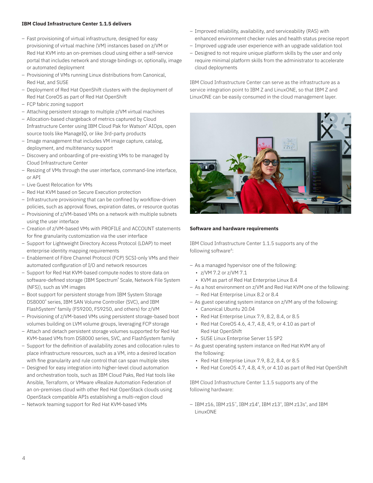#### **IBM Cloud Infrastructure Center 1.1.5 delivers**

- Fast provisioning of virtual infrastructure, designed for easy provisioning of virtual machine (VM) instances based on z/VM or Red Hat KVM into an on-premises cloud using either a self-service portal that includes network and storage bindings or, optionally, image or automated deployment
- Provisioning of VMs running Linux distributions from Canonical, Red Hat, and SUSE
- Deployment of Red Hat OpenShift clusters with the deployment of Red Hat CoreOS as part of Red Hat OpenShift
- FCP fabric zoning support
- Attaching persistent storage to multiple z/VM virtual machines
- Allocation-based chargeback of metrics captured by Cloud Infrastructure Center using IBM Cloud Pak for Watson® AIOps, open source tools like ManageIQ, or like 3rd-party products
- Image management that includes VM image capture, catalog, deployment, and multitenancy support
- Discovery and onboarding of pre-existing VMs to be managed by Cloud Infrastructure Center
- Resizing of VMs through the user interface, command-line interface, or API
- Live Guest Relocation for VMs
- Red Hat KVM based on Secure Execution protection
- Infrastructure provisioning that can be confined by workflow-driven policies, such as approval flows, expiration dates, or resource quotas
- Provisioning of z/VM-based VMs on a network with multiple subnets using the user interface
- Creation of z/VM-based VMs with PROFILE and ACCOUNT statements for fine granularity customization via the user interface
- Support for Lightweight Directory Access Protocol (LDAP) to meet enterprise identity mapping requirements
- Enablement of Fibre Channel Protocol (FCP) SCSI-only VMs and their automated configuration of I/O and network resources
- Support for Red Hat KVM-based compute nodes to store data on software-defined storage (IBM Spectrum® Scale, Network File System (NFS)), such as VM images
- Boot support for persistent storage from IBM System Storage DS8000® series, IBM SAN Volume Controller (SVC), and IBM FlashSystem® family (FS9200, FS9250, and others) for z/VM
- Provisioning of z/VM-based VMs using persistent storage-based boot volumes building on LVM volume groups, leveraging FCP storage
- Attach and detach persistent storage volumes supported for Red Hat KVM-based VMs from DS8000 series, SVC, and FlashSystem family
- Support for the definition of availability zones and collocation rules to place infrastructure resources, such as a VM, into a desired location with fine granularity and rule control that can span multiple sites
- Designed for easy integration into higher-level cloud automation and orchestration tools, such as IBM Cloud Paks, Red Hat tools like Ansible, Terraform, or VMware vRealize Automation Federation of an on-premises cloud with other Red Hat OpenStack clouds using OpenStack compatible APIs establishing a multi-region cloud
- Network teaming support for Red Hat KVM-based VMs
- Improved reliability, availability, and serviceability (RAS) with enhanced environment checker rules and health status precise report
- Improved upgrade user experience with an upgrade validation tool
- Designed to not require unique platform skills by the user and only require minimal platform skills from the administrator to accelerate cloud deployments

IBM Cloud Infrastructure Center can serve as the infrastructure as a service integration point to IBM Z and LinuxONE, so that IBM Z and LinuxONE can be easily consumed in the cloud management layer.



## **Software and hardware requirements**

IBM Cloud Infrastructure Center 1.1.5 supports any of the following software<sup>4</sup>:

- As a managed hypervisor one of the following:
	- z/VM 7.2 or z/VM 7.1
	- KVM as part of Red Hat Enterprise Linux 8.4
- As a host environment on z/VM and Red Hat KVM one of the following: – Red Hat Enterprise Linux 8.2 or 8.4
- As guest operating system instance on z/VM any of the following:
	- Canonical Ubuntu 20.04
	- Red Hat Enterprise Linux 7.9, 8.2, 8.4, or 8.5
	- Red Hat CoreOS 4.6, 4.7, 4.8, 4.9, or 4.10 as part of Red Hat OpenShift
	- SUSE Linux Enterprise Server 15 SP2
- As guest operating system instance on Red Hat KVM any of the following:
	- Red Hat Enterprise Linux 7.9, 8.2, 8.4, or 8.5
	- Red Hat CoreOS 4.7, 4.8, 4.9, or 4.10 as part of Red Hat OpenShift

IBM Cloud Infrastructure Center 1.1.5 supports any of the following hardware:

– IBM z16, IBM z15™, IBM z14® , IBM z13® , IBM z13s® , and IBM LinuxONE